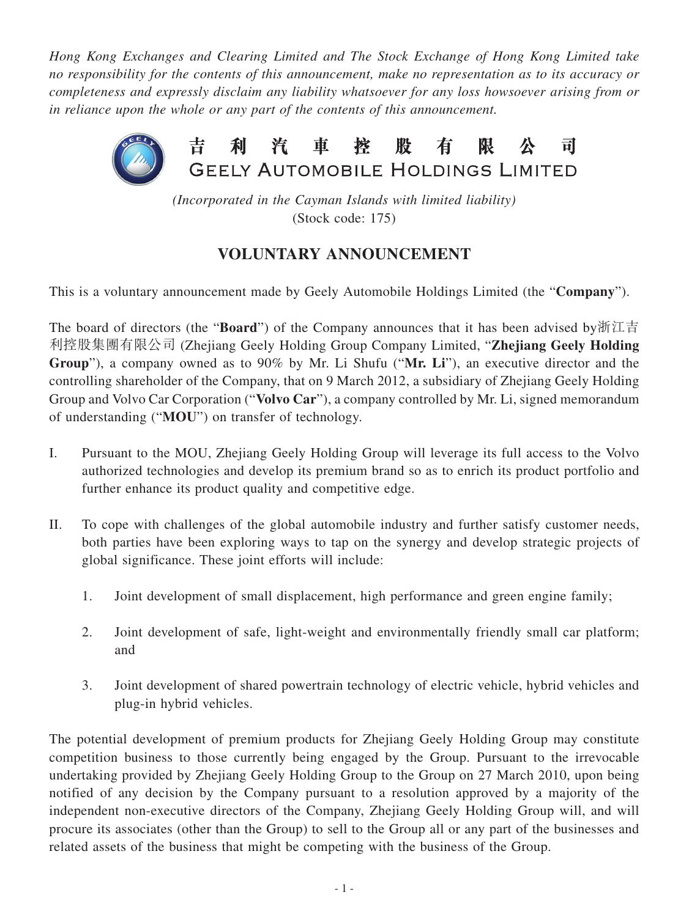*Hong Kong Exchanges and Clearing Limited and The Stock Exchange of Hong Kong Limited take no responsibility for the contents of this announcement, make no representation as to its accuracy or completeness and expressly disclaim any liability whatsoever for any loss howsoever arising from or in reliance upon the whole or any part of the contents of this announcement.*



*(Incorporated in the Cayman Islands with limited liability)* (Stock code: 175)

## **VOLUNTARY ANNOUNCEMENT**

This is a voluntary announcement made by Geely Automobile Holdings Limited (the "**Company**").

The board of directors (the "**Board**") of the Company announces that it has been advised by浙江吉 利控股集團有限公司 (Zhejiang Geely Holding Group Company Limited, "**Zhejiang Geely Holding Group**"), a company owned as to 90% by Mr. Li Shufu ("**Mr. Li**"), an executive director and the controlling shareholder of the Company, that on 9 March 2012, a subsidiary of Zhejiang Geely Holding Group and Volvo Car Corporation ("**Volvo Car**"), a company controlled by Mr. Li, signed memorandum of understanding ("**MOU**") on transfer of technology.

- I. Pursuant to the MOU, Zhejiang Geely Holding Group will leverage its full access to the Volvo authorized technologies and develop its premium brand so as to enrich its product portfolio and further enhance its product quality and competitive edge.
- II. To cope with challenges of the global automobile industry and further satisfy customer needs, both parties have been exploring ways to tap on the synergy and develop strategic projects of global significance. These joint efforts will include:
	- 1. Joint development of small displacement, high performance and green engine family;
	- 2. Joint development of safe, light-weight and environmentally friendly small car platform; and
	- 3. Joint development of shared powertrain technology of electric vehicle, hybrid vehicles and plug-in hybrid vehicles.

The potential development of premium products for Zhejiang Geely Holding Group may constitute competition business to those currently being engaged by the Group. Pursuant to the irrevocable undertaking provided by Zhejiang Geely Holding Group to the Group on 27 March 2010, upon being notified of any decision by the Company pursuant to a resolution approved by a majority of the independent non-executive directors of the Company, Zhejiang Geely Holding Group will, and will procure its associates (other than the Group) to sell to the Group all or any part of the businesses and related assets of the business that might be competing with the business of the Group.